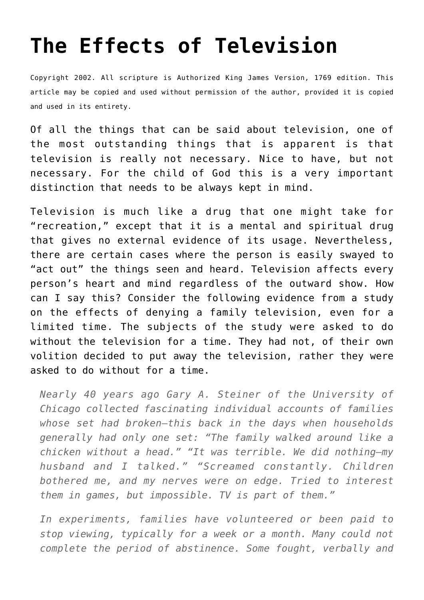## **[The Effects of Television](http://reproachofmen.org/spiritualwar/the-effects-of-television/)**

Copyright 2002. All scripture is Authorized King James Version, 1769 edition. This article may be copied and used without permission of the author, provided it is copied and used in its entirety.

Of all the things that can be said about television, one of the most outstanding things that is apparent is that television is really not necessary. Nice to have, but not necessary. For the child of God this is a very important distinction that needs to be always kept in mind.

Television is much like a drug that one might take for "recreation," except that it is a mental and spiritual drug that gives no external evidence of its usage. Nevertheless, there are certain cases where the person is easily swayed to "act out" the things seen and heard. Television affects every person's heart and mind regardless of the outward show. How can I say this? Consider the following evidence from a study on the effects of denying a family television, even for a limited time. The subjects of the study were asked to do without the television for a time. They had not, of their own volition decided to put away the television, rather they were asked to do without for a time.

*Nearly 40 years ago Gary A. Steiner of the University of Chicago collected fascinating individual accounts of families whose set had broken–this back in the days when households generally had only one set: "The family walked around like a chicken without a head." "It was terrible. We did nothing–my husband and I talked." "Screamed constantly. Children bothered me, and my nerves were on edge. Tried to interest them in games, but impossible. TV is part of them."*

*In experiments, families have volunteered or been paid to stop viewing, typically for a week or a month. Many could not complete the period of abstinence. Some fought, verbally and*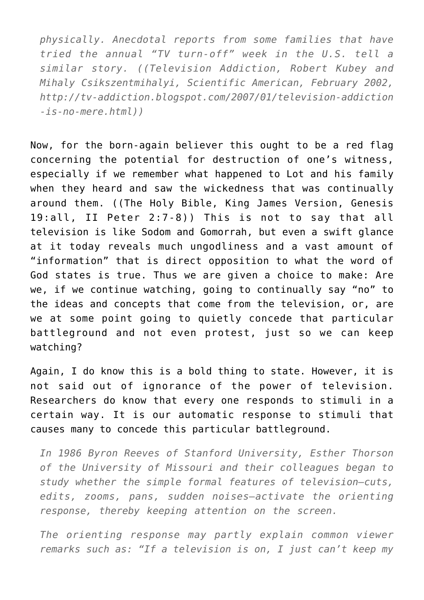*physically. Anecdotal reports from some families that have tried the annual "TV turn-off" week in the U.S. tell a similar story. ((Television Addiction, Robert Kubey and Mihaly Csikszentmihalyi, Scientific American, February 2002, http://tv-addiction.blogspot.com/2007/01/television-addiction -is-no-mere.html))*

Now, for the born-again believer this ought to be a red flag concerning the potential for destruction of one's witness, especially if we remember what happened to Lot and his family when they heard and saw the wickedness that was continually around them. ((The Holy Bible, King James Version, Genesis 19:all, II Peter 2:7-8)) This is not to say that all television is like Sodom and Gomorrah, but even a swift glance at it today reveals much ungodliness and a vast amount of "information" that is direct opposition to what the word of God states is true. Thus we are given a choice to make: Are we, if we continue watching, going to continually say "no" to the ideas and concepts that come from the television, or, are we at some point going to quietly concede that particular battleground and not even protest, just so we can keep watching?

Again, I do know this is a bold thing to state. However, it is not said out of ignorance of the power of television. Researchers do know that every one responds to stimuli in a certain way. It is our automatic response to stimuli that causes many to concede this particular battleground.

*In 1986 Byron Reeves of Stanford University, Esther Thorson of the University of Missouri and their colleagues began to study whether the simple formal features of television–cuts, edits, zooms, pans, sudden noises–activate the orienting response, thereby keeping attention on the screen.*

*The orienting response may partly explain common viewer remarks such as: "If a television is on, I just can't keep my*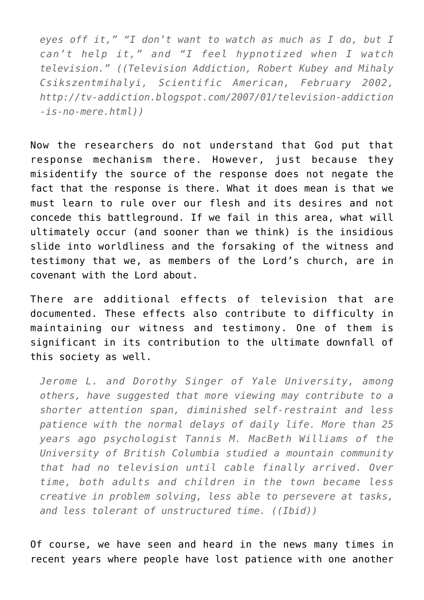*eyes off it," "I don't want to watch as much as I do, but I can't help it," and "I feel hypnotized when I watch television." ((Television Addiction, Robert Kubey and Mihaly Csikszentmihalyi, Scientific American, February 2002, http://tv-addiction.blogspot.com/2007/01/television-addiction -is-no-mere.html))*

Now the researchers do not understand that God put that response mechanism there. However, just because they misidentify the source of the response does not negate the fact that the response is there. What it does mean is that we must learn to rule over our flesh and its desires and not concede this battleground. If we fail in this area, what will ultimately occur (and sooner than we think) is the insidious slide into worldliness and the forsaking of the witness and testimony that we, as members of the Lord's church, are in covenant with the Lord about.

There are additional effects of television that are documented. These effects also contribute to difficulty in maintaining our witness and testimony. One of them is significant in its contribution to the ultimate downfall of this society as well.

*Jerome L. and Dorothy Singer of Yale University, among others, have suggested that more viewing may contribute to a shorter attention span, diminished self-restraint and less patience with the normal delays of daily life. More than 25 years ago psychologist Tannis M. MacBeth Williams of the University of British Columbia studied a mountain community that had no television until cable finally arrived. Over time, both adults and children in the town became less creative in problem solving, less able to persevere at tasks, and less tolerant of unstructured time. ((Ibid))*

Of course, we have seen and heard in the news many times in recent years where people have lost patience with one another